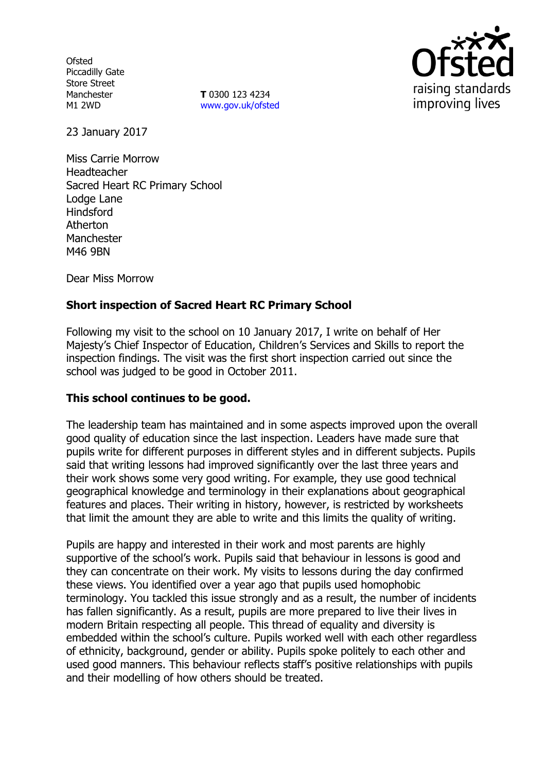**Ofsted** Piccadilly Gate Store Street Manchester M1 2WD

**T** 0300 123 4234 www.gov.uk/ofsted



23 January 2017

Miss Carrie Morrow Headteacher Sacred Heart RC Primary School Lodge Lane Hindsford Atherton **Manchester** M46 9BN

Dear Miss Morrow

# **Short inspection of Sacred Heart RC Primary School**

Following my visit to the school on 10 January 2017, I write on behalf of Her Majesty's Chief Inspector of Education, Children's Services and Skills to report the inspection findings. The visit was the first short inspection carried out since the school was judged to be good in October 2011.

## **This school continues to be good.**

The leadership team has maintained and in some aspects improved upon the overall good quality of education since the last inspection. Leaders have made sure that pupils write for different purposes in different styles and in different subjects. Pupils said that writing lessons had improved significantly over the last three years and their work shows some very good writing. For example, they use good technical geographical knowledge and terminology in their explanations about geographical features and places. Their writing in history, however, is restricted by worksheets that limit the amount they are able to write and this limits the quality of writing.

Pupils are happy and interested in their work and most parents are highly supportive of the school's work. Pupils said that behaviour in lessons is good and they can concentrate on their work. My visits to lessons during the day confirmed these views. You identified over a year ago that pupils used homophobic terminology. You tackled this issue strongly and as a result, the number of incidents has fallen significantly. As a result, pupils are more prepared to live their lives in modern Britain respecting all people. This thread of equality and diversity is embedded within the school's culture. Pupils worked well with each other regardless of ethnicity, background, gender or ability. Pupils spoke politely to each other and used good manners. This behaviour reflects staff's positive relationships with pupils and their modelling of how others should be treated.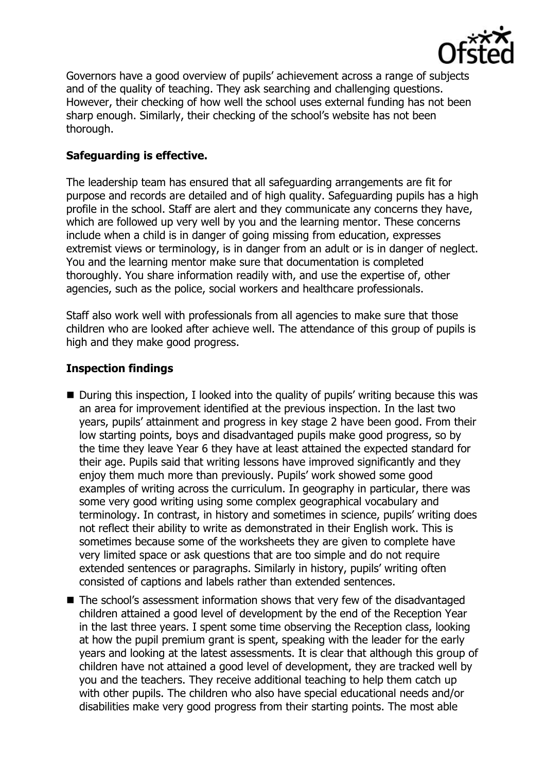

Governors have a good overview of pupils' achievement across a range of subjects and of the quality of teaching. They ask searching and challenging questions. However, their checking of how well the school uses external funding has not been sharp enough. Similarly, their checking of the school's website has not been thorough.

# **Safeguarding is effective.**

The leadership team has ensured that all safeguarding arrangements are fit for purpose and records are detailed and of high quality. Safeguarding pupils has a high profile in the school. Staff are alert and they communicate any concerns they have, which are followed up very well by you and the learning mentor. These concerns include when a child is in danger of going missing from education, expresses extremist views or terminology, is in danger from an adult or is in danger of neglect. You and the learning mentor make sure that documentation is completed thoroughly. You share information readily with, and use the expertise of, other agencies, such as the police, social workers and healthcare professionals.

Staff also work well with professionals from all agencies to make sure that those children who are looked after achieve well. The attendance of this group of pupils is high and they make good progress.

# **Inspection findings**

- During this inspection, I looked into the quality of pupils' writing because this was an area for improvement identified at the previous inspection. In the last two years, pupils' attainment and progress in key stage 2 have been good. From their low starting points, boys and disadvantaged pupils make good progress, so by the time they leave Year 6 they have at least attained the expected standard for their age. Pupils said that writing lessons have improved significantly and they enjoy them much more than previously. Pupils' work showed some good examples of writing across the curriculum. In geography in particular, there was some very good writing using some complex geographical vocabulary and terminology. In contrast, in history and sometimes in science, pupils' writing does not reflect their ability to write as demonstrated in their English work. This is sometimes because some of the worksheets they are given to complete have very limited space or ask questions that are too simple and do not require extended sentences or paragraphs. Similarly in history, pupils' writing often consisted of captions and labels rather than extended sentences.
- The school's assessment information shows that very few of the disadvantaged children attained a good level of development by the end of the Reception Year in the last three years. I spent some time observing the Reception class, looking at how the pupil premium grant is spent, speaking with the leader for the early years and looking at the latest assessments. It is clear that although this group of children have not attained a good level of development, they are tracked well by you and the teachers. They receive additional teaching to help them catch up with other pupils. The children who also have special educational needs and/or disabilities make very good progress from their starting points. The most able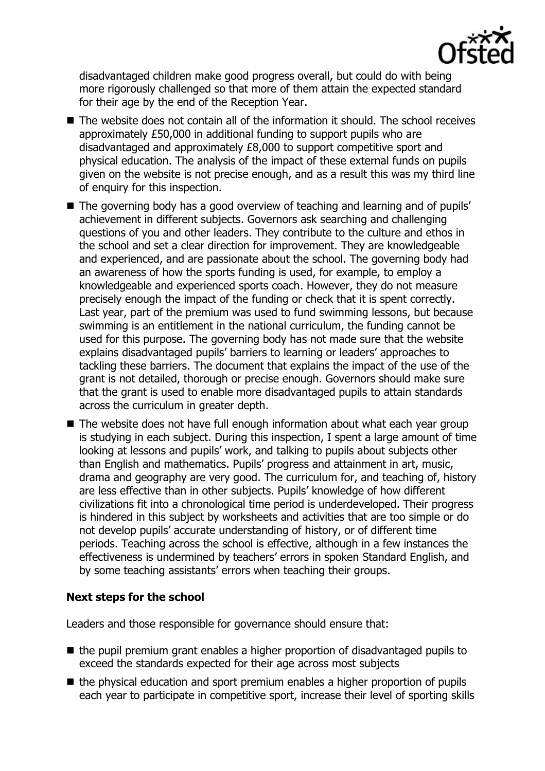

disadvantaged children make good progress overall, but could do with being more rigorously challenged so that more of them attain the expected standard for their age by the end of the Reception Year.

- $\blacksquare$  The website does not contain all of the information it should. The school receives approximately £50,000 in additional funding to support pupils who are disadvantaged and approximately £8,000 to support competitive sport and physical education. The analysis of the impact of these external funds on pupils given on the website is not precise enough, and as a result this was my third line of enquiry for this inspection.
- The governing body has a good overview of teaching and learning and of pupils' achievement in different subjects. Governors ask searching and challenging questions of you and other leaders. They contribute to the culture and ethos in the school and set a clear direction for improvement. They are knowledgeable and experienced, and are passionate about the school. The governing body had an awareness of how the sports funding is used, for example, to employ a knowledgeable and experienced sports coach. However, they do not measure precisely enough the impact of the funding or check that it is spent correctly. Last year, part of the premium was used to fund swimming lessons, but because swimming is an entitlement in the national curriculum, the funding cannot be used for this purpose. The governing body has not made sure that the website explains disadvantaged pupils' barriers to learning or leaders' approaches to tackling these barriers. The document that explains the impact of the use of the grant is not detailed, thorough or precise enough. Governors should make sure that the grant is used to enable more disadvantaged pupils to attain standards across the curriculum in greater depth.
- The website does not have full enough information about what each vear group is studying in each subject. During this inspection, I spent a large amount of time looking at lessons and pupils' work, and talking to pupils about subjects other than English and mathematics. Pupils' progress and attainment in art, music, drama and geography are very good. The curriculum for, and teaching of, history are less effective than in other subjects. Pupils' knowledge of how different civilizations fit into a chronological time period is underdeveloped. Their progress is hindered in this subject by worksheets and activities that are too simple or do not develop pupils' accurate understanding of history, or of different time periods. Teaching across the school is effective, although in a few instances the effectiveness is undermined by teachers' errors in spoken Standard English, and by some teaching assistants' errors when teaching their groups.

## **Next steps for the school**

Leaders and those responsible for governance should ensure that:

- $\blacksquare$  the pupil premium grant enables a higher proportion of disadvantaged pupils to exceed the standards expected for their age across most subjects
- the physical education and sport premium enables a higher proportion of pupils each year to participate in competitive sport, increase their level of sporting skills